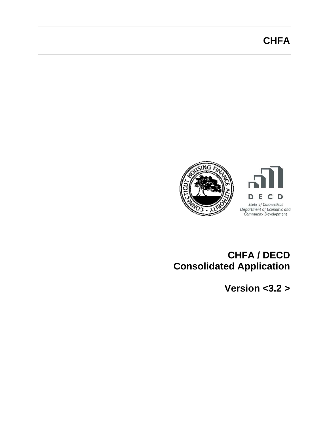# **CHFA**



## **CHFA / DECD Consolidated Application**

**Version <3.2 >**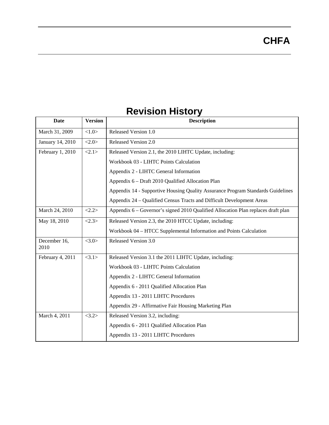| Date                                                                            | <b>Version</b> | <b>Description</b>                                                                |  |
|---------------------------------------------------------------------------------|----------------|-----------------------------------------------------------------------------------|--|
| March 31, 2009                                                                  | <1.0>          | Released Version 1.0                                                              |  |
| January 14, 2010                                                                | <2.0>          | Released Version 2.0                                                              |  |
| February 1, 2010<br><2.1>                                                       |                | Released Version 2.1, the 2010 LIHTC Update, including:                           |  |
|                                                                                 |                | Workbook 03 - LIHTC Points Calculation                                            |  |
|                                                                                 |                | Appendix 2 - LIHTC General Information                                            |  |
|                                                                                 |                | Appendix 6 - Draft 2010 Qualified Allocation Plan                                 |  |
|                                                                                 |                | Appendix 14 - Supportive Housing Quality Assurance Program Standards Guidelines   |  |
|                                                                                 |                | Appendix 24 – Qualified Census Tracts and Difficult Development Areas             |  |
| March 24, 2010                                                                  | <2.2>          | Appendix 6 – Governor's signed 2010 Qualified Allocation Plan replaces draft plan |  |
| May 18, 2010<br><2.3><br>Released Version 2.3, the 2010 HTCC Update, including: |                |                                                                                   |  |
|                                                                                 |                | Workbook 04 – HTCC Supplemental Information and Points Calculation                |  |
| December 16,<br>2010                                                            | <3.0>          | Released Version 3.0                                                              |  |
| February 4, 2011<br><3.1>                                                       |                | Released Version 3.1 the 2011 LIHTC Update, including:                            |  |
|                                                                                 |                | Workbook 03 - LIHTC Points Calculation                                            |  |
|                                                                                 |                | Appendix 2 - LIHTC General Information                                            |  |
|                                                                                 |                | Appendix 6 - 2011 Qualified Allocation Plan                                       |  |
|                                                                                 |                | Appendix 13 - 2011 LIHTC Procedures                                               |  |
|                                                                                 |                | Appendix 29 - Affirmative Fair Housing Marketing Plan                             |  |
| March 4, 2011                                                                   | <3.2>          | Released Version 3.2, including:                                                  |  |
|                                                                                 |                | Appendix 6 - 2011 Qualified Allocation Plan                                       |  |
|                                                                                 |                | Appendix 13 - 2011 LIHTC Procedures                                               |  |

## **Revision History**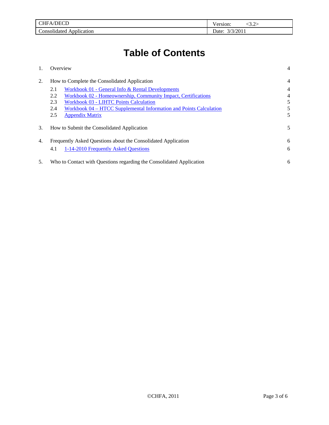| DTAT<br>эн.<br>:HFA/D<br>_____ | -<br>ersion:<br>         |
|--------------------------------|--------------------------|
| $\sim$                         | /2011                    |
| . .                            | $\overline{\phantom{a}}$ |
| `onsolidated.                  | Date:                    |
| \pplication                    |                          |

# **Table of Contents**

|    | Overview                                                                  | 4 |
|----|---------------------------------------------------------------------------|---|
| 2. | How to Complete the Consolidated Application                              |   |
|    | Workbook 01 - General Info & Rental Developments<br>2.1                   | 4 |
|    | Workbook 02 - Homeownership, Community Impact, Certifications<br>2.2      | 4 |
|    | 2.3<br><b>Workbook 03 - LIHTC Points Calculation</b>                      | 5 |
|    | Workbook 04 – HTCC Supplemental Information and Points Calculation<br>2.4 | 5 |
|    | 2.5<br><b>Appendix Matrix</b>                                             | 5 |
| 3. | How to Submit the Consolidated Application                                | 5 |
| 4. | Frequently Asked Questions about the Consolidated Application             | 6 |
|    | 1-14-2010 Frequently Asked Questions<br>4.1                               | 6 |
| 5. | Who to Contact with Questions regarding the Consolidated Application      | 6 |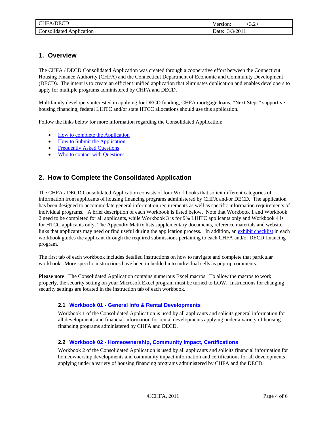<span id="page-3-0"></span>

| $\sqrt{2}$<br>HН<br>H<br>$\Lambda$<br>¬     | ersion.<br>. |
|---------------------------------------------|--------------|
| $\sim$<br>. .<br>`onsolidated<br>pplication | '201<br>ale. |

### **1. Overview**

The CHFA / DECD Consolidated Application was created through a cooperative effort between the Connecticut Housing Finance Authority (CHFA) and the Connecticut Department of Economic and Community Development (DECD). The intent is to create an efficient unified application that eliminates duplication and enables developers to apply for multiple programs administered by CHFA and DECD.

Multifamily developers interested in applying for DECD funding, CHFA mortgage loans, "Next Steps" supportive housing financing, federal LIHTC and/or state HTCC allocations should use this application.

Follow the links below for more information regarding the Consolidated Application:

- [How to complete the Application](#page-3-0)
- [How to Submit the Application](#page-4-0)
- Frequently Asked Questions
- [Who to contact with Questions](#page-5-0)

## **2. How to Complete the Consolidated Application**

The CHFA / DECD Consolidated Application consists of four Workbooks that solicit different categories of information from applicants of housing financing programs administered by CHFA and/or DECD. The application has been designed to accommodate general information requirements as well as specific information requirements of individual programs. A brief description of each Workbook is listed below. Note that Workbook 1 and Workbook 2 need to be completed for all applicants, while Workbook 3 is for 9% LIHTC applicants only and Workbook 4 is for HTCC applicants only. The Appendix Matrix lists supplementary documents, reference materials and website links that applicants may need or find useful during the application process. In addition, an exhibit checklist in each workbook guides the applicant through the required submissions pertaining to each CHFA and/or DECD financing program.

The first tab of each workbook includes detailed instructions on how to navigate and complete that particular workbook. More specific instructions have been imbedded into individual cells as pop-up comments.

**Please note**: The Consolidated Application contains numerous Excel macros. To allow the macros to work properly, the security setting on your Microsoft Excel program must be turned to LOW. Instructions for changing security settings are located in the instruction tab of each workbook.

#### **2.1 Workbook 01 - General Info & Rental Developments**

Workbook 1 of the Consolidated Application is used by all applicants and solicits general information for all developments and financial information for rental developments applying under a variety of housing financing programs administered by CHFA and DECD.

#### **2.2 Workbook 02 - Homeownership, Community Impact, Certifications**

Workbook 2 of the Consolidated Application is used by all applicants and solicits financial information for homeownership developments and community impact information and certifications for all developments applying under a variety of housing financing programs administered by CHFA and the DECD.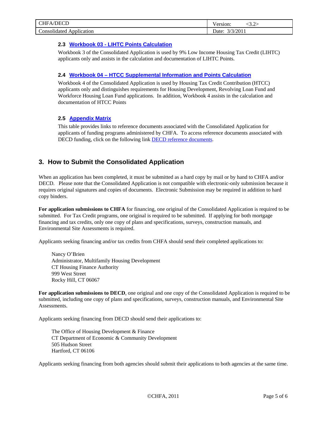<span id="page-4-0"></span>

| /DECD<br>`HFA<br>____                | ersion:                     |
|--------------------------------------|-----------------------------|
| $\sim$<br>onsolidated<br>Application | /2011<br>$\mathcal{Q}$ ate: |

#### **2.3 Workbook 03 - LIHTC Points Calculation**

Workbook 3 of the Consolidated Application is used by 9% Low Income Housing Tax Credit (LIHTC) applicants only and assists in the calculation and documentation of LIHTC Points.

#### **2.4 Workbook 04 – HTCC Supplemental Information and Points Calculation**

Workbook 4 of the Consolidated Application is used by Housing Tax Credit Contribution (HTCC) applicants only and distinguishes requirements for Housing Development, Revolving Loan Fund and Workforce Housing Loan Fund applications. In addition, Workbook 4 assists in the calculation and documentation of HTCC Points

#### **2.5 Appendix Matrix**

This table provides links to reference documents associated with the Consolidated Application for applicants of funding programs administered by CHFA. To access reference documents associated with DECD funding, click on the following link **DECD** reference documents.

## **3. How to Submit the Consolidated Application**

When an application has been completed, it must be submitted as a hard copy by mail or by hand to CHFA and/or DECD. Please note that the Consolidated Application is not compatible with electronic-only submission because it requires original signatures and copies of documents. Electronic Submission may be required in addition to hard copy binders.

**For application submissions to CHFA** for financing, one original of the Consolidated Application is required to be submitted. For Tax Credit programs, one original is required to be submitted. If applying for both mortgage financing and tax credits, only one copy of plans and specifications, surveys, construction manuals, and Environmental Site Assessments is required.

Applicants seeking financing and/or tax credits from CHFA should send their completed applications to:

Nancy O'Brien Administrator, Multifamily Housing Development CT Housing Finance Authority 999 West Street Rocky Hill, CT 06067

**For application submissions to DECD**, one original and one copy of the Consolidated Application is required to be submitted, including one copy of plans and specifications, surveys, construction manuals, and Environmental Site Assessments.

Applicants seeking financing from DECD should send their applications to:

The Office of Housing Development & Finance CT Department of Economic & Community Development 505 Hudson Street Hartford, CT 06106

Applicants seeking financing from both agencies should submit their applications to both agencies at the same time.